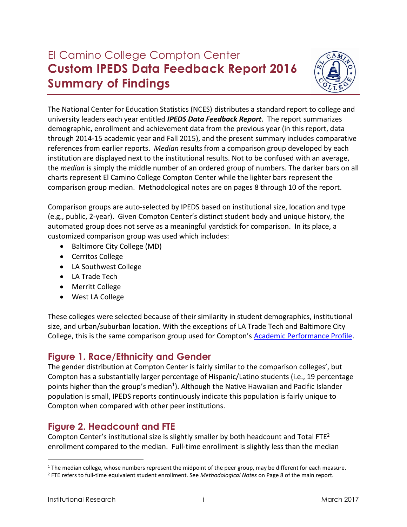# El Camino College Compton Center **Custom IPEDS Data Feedback Report 2016 Summary of Findings**



The National Center for Education Statistics (NCES) distributes a standard report to college and university leaders each year entitled *IPEDS Data Feedback Report*. The report summarizes demographic, enrollment and achievement data from the previous year (in this report, data through 2014-15 academic year and Fall 2015), and the present summary includes comparative references from earlier reports. *Median* results from a comparison group developed by each institution are displayed next to the institutional results. Not to be confused with an average, the *median* is simply the middle number of an ordered group of numbers. The darker bars on all charts represent El Camino College Compton Center while the lighter bars represent the comparison group median. Methodological notes are on pages 8 through 10 of the report.

Comparison groups are auto-selected by IPEDS based on institutional size, location and type (e.g., public, 2-year). Given Compton Center's distinct student body and unique history, the automated group does not serve as a meaningful yardstick for comparison. In its place, a customized comparison group was used which includes:

- Baltimore City College (MD)
- Cerritos College
- LA Southwest College
- LA Trade Tech
- Merritt College
- West LA College

These colleges were selected because of their similarity in student demographics, institutional size, and urban/suburban location. With the exceptions of LA Trade Tech and Baltimore City College, this is the same comparison group used for Compton's **Academic Performance Profile**.

# **Figure 1. Race/Ethnicity and Gender**

The gender distribution at Compton Center is fairly similar to the comparison colleges', but Compton has a substantially larger percentage of Hispanic/Latino students (i.e., 19 percentage points higher than the group's median<sup>1</sup>). Although the Native Hawaiian and Pacific Islander population is small, IPEDS reports continuously indicate this population is fairly unique to Compton when compared with other peer institutions.

# **Figure 2. Headcount and FTE**

Compton Center's institutional size is slightly smaller by both headcount and Total FTE<sup>2</sup> enrollment compared to the median. Full-time enrollment is slightly less than the median

 $\overline{a}$ 

<sup>&</sup>lt;sup>1</sup> The median college, whose numbers represent the midpoint of the peer group, may be different for each measure.

<sup>2</sup> FTE refers to full-time equivalent student enrollment. See *Methodological Notes* on Page 8 of the main report.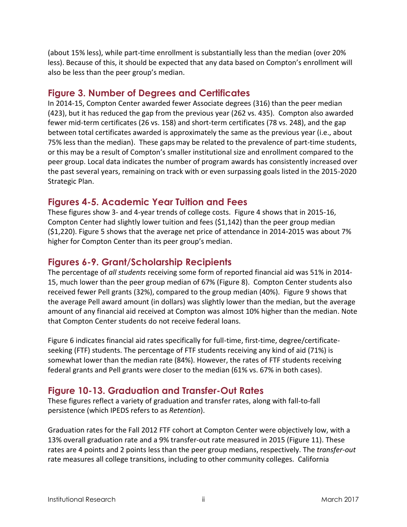(about 15% less), while part-time enrollment is substantially less than the median (over 20% less). Because of this, it should be expected that any data based on Compton's enrollment will also be less than the peer group's median.

# **Figure 3. Number of Degrees and Certificates**

In 2014-15, Compton Center awarded fewer Associate degrees (316) than the peer median (423), but it has reduced the gap from the previous year (262 vs. 435). Compton also awarded fewer mid-term certificates (26 vs. 158) and short-term certificates (78 vs. 248), and the gap between total certificates awarded is approximately the same as the previous year (i.e., about 75% less than the median). These gapsmay be related to the prevalence of part-time students, or this may be a result of Compton's smaller institutional size and enrollment compared to the peer group. Local data indicates the number of program awards has consistently increased over the past several years, remaining on track with or even surpassing goals listed in the 2015-2020 Strategic Plan.

# **Figures 4-5. Academic Year Tuition and Fees**

These figures show 3- and 4-year trends of college costs. Figure 4 shows that in 2015-16, Compton Center had slightly lower tuition and fees (\$1,142) than the peer group median (\$1,220). Figure 5 shows that the average net price of attendance in 2014-2015 was about 7% higher for Compton Center than its peer group's median.

# **Figures 6-9. Grant/Scholarship Recipients**

The percentage of *all students* receiving some form of reported financial aid was 51% in 2014- 15, much lower than the peer group median of 67% (Figure 8). Compton Center students also received fewer Pell grants (32%), compared to the group median (40%). Figure 9 shows that the average Pell award amount (in dollars) was slightly lower than the median, but the average amount of any financial aid received at Compton was almost 10% higher than the median. Note that Compton Center students do not receive federal loans.

Figure 6 indicates financial aid rates specifically for full-time, first-time, degree/certificateseeking (FTF) students. The percentage of FTF students receiving any kind of aid (71%) is somewhat lower than the median rate (84%). However, the rates of FTF students receiving federal grants and Pell grants were closer to the median (61% vs. 67% in both cases).

# **Figure 10-13. Graduation and Transfer-Out Rates**

These figures reflect a variety of graduation and transfer rates, along with fall-to-fall persistence (which IPEDS refers to as *Retention*).

Graduation rates for the Fall 2012 FTF cohort at Compton Center were objectively low, with a 13% overall graduation rate and a 9% transfer-out rate measured in 2015 (Figure 11). These rates are 4 points and 2 points less than the peer group medians, respectively. The *transfer-out*  rate measures all college transitions, including to other community colleges. California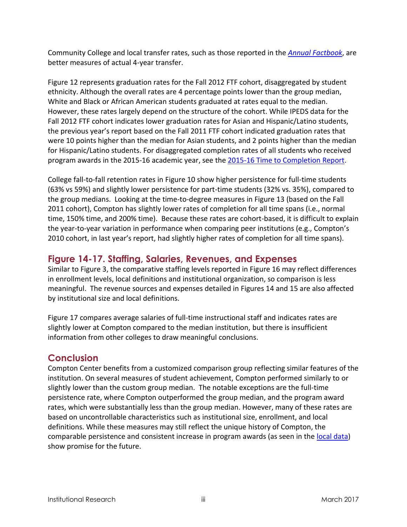Community College and local transfer rates, such as those reported in the *[Annual Factbook](http://www.elcamino.edu/administration/ir/comfactbook.asp)*, are better measures of actual 4-year transfer.

Figure 12 represents graduation rates for the Fall 2012 FTF cohort, disaggregated by student ethnicity. Although the overall rates are 4 percentage points lower than the group median, White and Black or African American students graduated at rates equal to the median. However, these rates largely depend on the structure of the cohort. While IPEDS data for the Fall 2012 FTF cohort indicates lower graduation rates for Asian and Hispanic/Latino students, the previous year's report based on the Fall 2011 FTF cohort indicated graduation rates that were 10 points higher than the median for Asian students, and 2 points higher than the median for Hispanic/Latino students. For disaggregated completion rates of all students who received program awards in the 2015-16 academic year, see th[e 2015-16 Time to Completion Report.](http://www.elcamino.edu/administration/ir/docs/acadperformance/TimeToCompletionReport2015-2016COM.pdf)

College fall-to-fall retention rates in Figure 10 show higher persistence for full-time students (63% vs 59%) and slightly lower persistence for part-time students (32% vs. 35%), compared to the group medians. Looking at the time-to-degree measures in Figure 13 (based on the Fall 2011 cohort), Compton has slightly lower rates of completion for all time spans (i.e., normal time, 150% time, and 200% time). Because these rates are cohort-based, it is difficult to explain the year-to-year variation in performance when comparing peer institutions (e.g., Compton's 2010 cohort, in last year's report, had slightly higher rates of completion for all time spans).

# **Figure 14-17. Staffing, Salaries, Revenues, and Expenses**

Similar to Figure 3, the comparative staffing levels reported in Figure 16 may reflect differences in enrollment levels, local definitions and institutional organization, so comparison is less meaningful. The revenue sources and expenses detailed in Figures 14 and 15 are also affected by institutional size and local definitions.

Figure 17 compares average salaries of full-time instructional staff and indicates rates are slightly lower at Compton compared to the median institution, but there is insufficient information from other colleges to draw meaningful conclusions.

## **Conclusion**

Compton Center benefits from a customized comparison group reflecting similar features of the institution. On several measures of student achievement, Compton performed similarly to or slightly lower than the custom group median. The notable exceptions are the full-time persistence rate, where Compton outperformed the group median, and the program award rates, which were substantially less than the group median. However, many of these rates are based on uncontrollable characteristics such as institutional size, enrollment, and local definitions. While these measures may still reflect the unique history of Compton, the comparable persistence and consistent increase in program awards (as seen in the [local data\)](http://www.elcamino.edu/administration/ir/docs/acadperformance/COMDegreesandCertificatesReport1516.pdf) show promise for the future.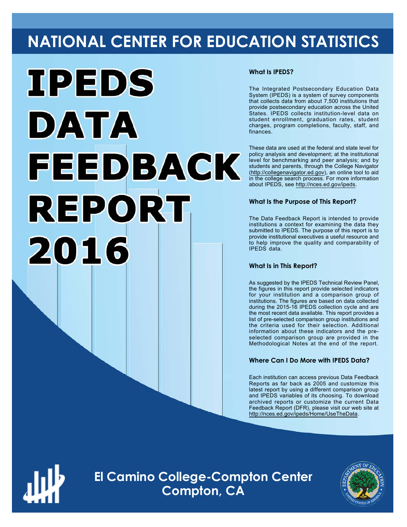# **NATIONAL CENTER FOR EDUCATION STATISTICS**



#### **What Is IPEDS?**

The Integrated Postsecondary Education Data System (IPEDS) is a system of survey components that collects data from about 7,500 institutions that provide postsecondary education across the United States. IPEDS collects institution-level data on student enrollment, graduation rates, student charges, program completions, faculty, staff, and finances.

These data are used at the federal and state level for policy analysis and development; at the institutional level for benchmarking and peer analysis; and by students and parents, through the College Navigator ([http://collegenavigator.ed.gov\)](http://collegenavigator.ed.gov), an online tool to aid in the college search process. For more information about IPEDS, see [http://nces.ed.gov/ipeds.](http://nces.ed.gov/ipeds)

#### **What Is the Purpose of This Report?**

The Data Feedback Report is intended to provide institutions a context for examining the data they submitted to IPEDS. The purpose of this report is to provide institutional executives a useful resource and to help improve the quality and comparability of IPEDS data.

#### **What Is in This Report?**

As suggested by the IPEDS Technical Review Panel, the figures in this report provide selected indicators for your institution and a comparison group of institutions. The figures are based on data collected during the 2015-16 IPEDS collection cycle and are the most recent data available. This report provides a list of pre-selected comparison group institutions and the criteria used for their selection. Additional information about these indicators and the preselected comparison group are provided in the Methodological Notes at the end of the report.

#### **Where Can I Do More with IPEDS Data?**

Each institution can access previous Data Feedback Reports as far back as 2005 and customize this latest report by using a different comparison group and IPEDS variables of its choosing. To download archived reports or customize the current Data Feedback Report (DFR), please visit our web site at <http://nces.ed.gov/ipeds/Home/UseTheData>.



**El Camino College-Compton Center Compton, CA**

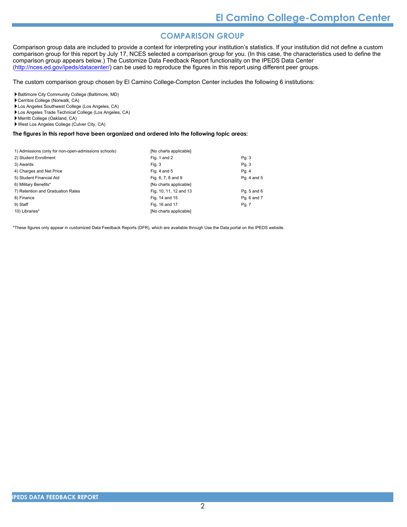#### **COMPARISON GROUP**

Comparison group data are included to provide a context for interpreting your institution's statistics. If your institution did not define a custom comparison group for this report by July 17, NCES selected a comparison group for you. (In this case, the characteristics used to define the comparison group appears below.) The Customize Data Feedback Report functionality on the IPEDS Data Center [\(http://nces.ed.gov/ipeds/datacenter/\)](http://nces.ed.gov/ipeds/datacenter/) can be used to reproduce the figures in this report using different peer groups.

The custom comparison group chosen by El Camino College-Compton Center includes the following 6 institutions:

Baltimore City Community College (Baltimore, MD)

- Cerritos College (Norwalk, CA)
- Los Angeles Southwest College (Los Angeles, CA)
- Los Angeles Trade Technical College (Los Angeles, CA)
- Merritt College (Oakland, CA)
- West Los Angeles College (Culver City, CA)

#### **The figures in this report have been organized and ordered into the following topic areas:**

| 1) Admissions (only for non-open-admissions schools) | [No charts applicable] |             |
|------------------------------------------------------|------------------------|-------------|
| 2) Student Enrollment                                | Fig. 1 and 2           | Pg. 3       |
| 3) Awards                                            | Fig. 3                 | Pg. 3       |
| 4) Charges and Net Price                             | Fig. 4 and $5$         | Pg. 4       |
| 5) Student Financial Aid                             | Fig. 6, 7, 8 and 9     | Pq. 4 and 5 |
| 6) Military Benefits*                                | [No charts applicable] |             |
| 7) Retention and Graduation Rates                    | Fig. 10, 11, 12 and 13 | Pq. 5 and 6 |
| 8) Finance                                           | Fig. 14 and 15         | Pq. 6 and 7 |
| 9) Staff                                             | Fig. 16 and 17         | Pg. 7       |
| 10) Libraries*                                       | [No charts applicable] |             |

\*These figures only appear in customized Data Feedback Reports (DFR), which are available through Use the Data portal on the IPEDS website.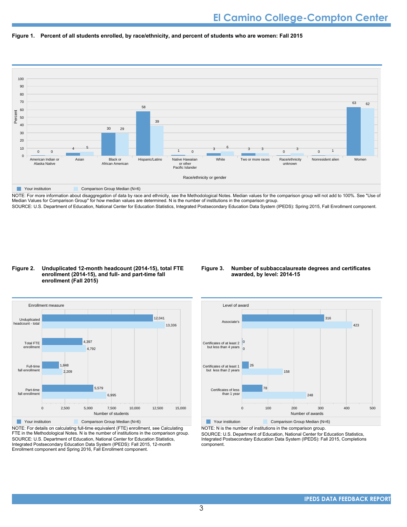



NOTE: For more information about disaggregation of data by race and ethnicity, see the Methodological Notes. Median values for the comparison group will not add to 100%. See "Use of Median Values for Comparison Group" for how median values are determined. N is the number of institutions in the comparison group. SOURCE: U.S. Department of Education, National Center for Education Statistics, Integrated Postsecondary Education Data System (IPEDS): Spring 2015, Fall Enrollment component.

#### **Figure 2. Unduplicated 12-month headcount (2014-15), total FTE enrollment (2014-15), and full- and part-time fall enrollment (Fall 2015)**

#### **Figure 3. Number of subbaccalaureate degrees and certificates awarded, by level: 2014-15**



NOTE: For details on calculating full-time equivalent (FTE) enrollment, see Calculating FTE in the Methodological Notes. N is the number of institutions in the comparison group. SOURCE: U.S. Department of Education, National Center for Education Statistics, Integrated Postsecondary Education Data System (IPEDS): Fall 2015, 12-month Enrollment component and Spring 2016, Fall Enrollment component.



**Your institution** Comparison Group Median (N=6) NOTE: N is the number of institutions in the comparison group.

SOURCE: U.S. Department of Education, National Center for Education Statistics, Integrated Postsecondary Education Data System (IPEDS): Fall 2015, Completions component.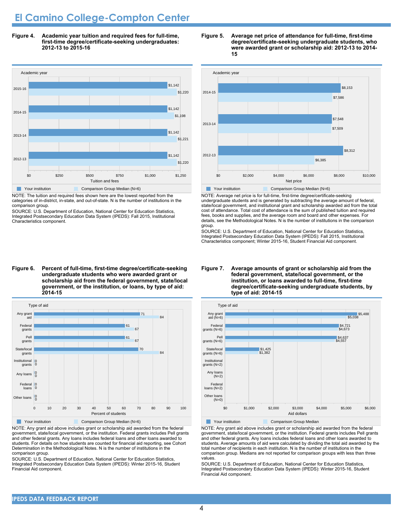# **El Camino College-Compton Center**

**Figure 4. Academic year tuition and required fees for full-time, first-time degree/certificate-seeking undergraduates: 2012-13 to 2015-16**



NOTE: The tuition and required fees shown here are the lowest reported from the categories of in-district, in-state, and out-of-state. N is the number of institutions in the comparison group.

SOURCE: U.S. Department of Education, National Center for Education Statistics, Integrated Postsecondary Education Data System (IPEDS): Fall 2015, Institutional Characteristics component.

#### **undergraduate students who were awarded grant or scholarship aid from the federal government, state/local government, or the institution, or loans, by type of aid: 2014-15**



NOTE: Any grant aid above includes grant or scholarship aid awarded from the federal government, state/local government, or the institution. Federal grants includes Pell grants and other federal grants. Any loans includes federal loans and other loans awarded to students. For details on how students are counted for financial aid reporting, see Cohort Determination in the Methodological Notes. N is the number of institutions in the comparison group.

SOURCE: U.S. Department of Education, National Center for Education Statistics, Integrated Postsecondary Education Data System (IPEDS): Winter 2015-16, Student Financial Aid component.





NOTE: Average net price is for full-time, first-time degree/certificate-seeking undergraduate students and is generated by subtracting the average amount of federal, state/local government, and institutional grant and scholarship awarded aid from the total cost of attendance. Total cost of attendance is the sum of published tuition and required fees, books and supplies, and the average room and board and other expenses. For details, see the Methodological Notes. N is the number of institutions in the comparison group.

SOURCE: U.S. Department of Education, National Center for Education Statistics, Integrated Postsecondary Education Data System (IPEDS): Fall 2015, Institutional Characteristics component; Winter 2015-16, Student Financial Aid component.



**Your institution** Comparison Group Median

NOTE: Any grant aid above includes grant or scholarship aid awarded from the federal government, state/local government, or the institution. Federal grants includes Pell grants and other federal grants. Any loans includes federal loans and other loans awarded to students. Average amounts of aid were calculated by dividing the total aid awarded by the total number of recipients in each institution. N is the number of institutions in the comparison group. Medians are not reported for comparison groups with less than three values.

SOURCE: U.S. Department of Education, National Center for Education Statistics, Integrated Postsecondary Education Data System (IPEDS): Winter 2015-16, Student Financial Aid component.

# **Figure 6. Percent of full-time, first-time degree/certificate-seeking**

#### **Figure 7. Average amounts of grant or scholarship aid from the federal government, state/local government, or the institution, or loans awarded to full-time, first-time degree/certificate-seeking undergraduate students, by type of aid: 2014-15**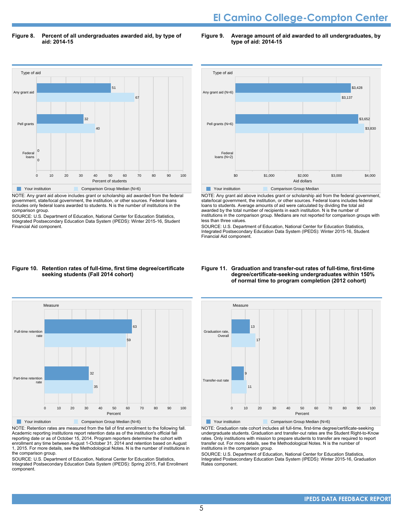# **El Camino College-Compton Center**

**Figure 8. Percent of all undergraduates awarded aid, by type of aid: 2014-15**

**Figure 9. Average amount of aid awarded to all undergraduates, by type of aid: 2014-15**



NOTE: Any grant aid above includes grant or scholarship aid awarded from the federal government, state/local government, the institution, or other sources. Federal loans includes only federal loans awarded to students. N is the number of institutions in the comparison group.

SOURCE: U.S. Department of Education, National Center for Education Statistics, Integrated Postsecondary Education Data System (IPEDS): Winter 2015-16, Student Financial Aid component.



NOTE: Any grant aid above includes grant or scholarship aid from the federal government, state/local government, the institution, or other sources. Federal loans includes federal loans to students. Average amounts of aid were calculated by dividing the total aid awarded by the total number of recipients in each institution. N is the number of institutions in the comparison group. Medians are not reported for comparison groups with less than three values.

SOURCE: U.S. Department of Education, National Center for Education Statistics, Integrated Postsecondary Education Data System (IPEDS): Winter 2015-16, Student Financial Aid component.

#### **Figure 10. Retention rates of full-time, first time degree/certificate seeking students (Fall 2014 cohort)**



NOTE: Retention rates are measured from the fall of first enrollment to the following fall. Academic reporting institutions report retention data as of the institution's official fall reporting date or as of October 15, 2014. Program reporters determine the cohort with enrollment any time between August 1-October 31, 2014 and retention based on August 1, 2015. For more details, see the Methodological Notes. N is the number of institutions in the comparison group.

SOURCE: U.S. Department of Education, National Center for Education Statistics, Integrated Postsecondary Education Data System (IPEDS): Spring 2015, Fall Enrollment component.

#### **Figure 11. Graduation and transfer-out rates of full-time, first-time degree/certificate-seeking undergraduates within 150% of normal time to program completion (2012 cohort)**



NOTE: Graduation rate cohort includes all full-time, first-time degree/certificate-seeking undergraduate students. Graduation and transfer-out rates are the Student Right-to-Know rates. Only institutions with mission to prepare students to transfer are required to report transfer out. For more details, see the Methodological Notes. N is the number of institutions in the comparison group.

SOURCE: U.S. Department of Education, National Center for Education Statistics, Integrated Postsecondary Education Data System (IPEDS): Winter 2015-16, Graduation Rates component.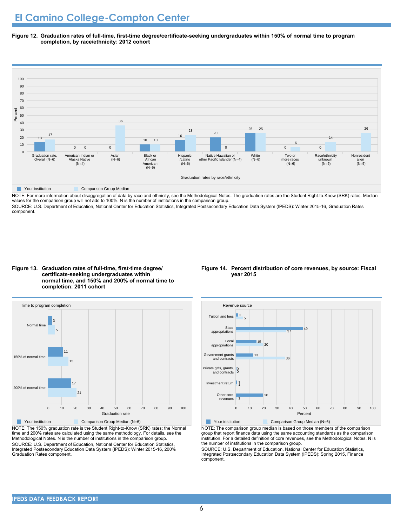**Figure 12. Graduation rates of full-time, first-time degree/certificate-seeking undergraduates within 150% of normal time to program completion, by race/ethnicity: 2012 cohort**



NOTE: For more information about disaggregation of data by race and ethnicity, see the Methodological Notes. The graduation rates are the Student Right-to-Know (SRK) rates. Median values for the comparison group will not add to 100%. N is the number of institutions in the comparison group.

SOURCE: U.S. Department of Education, National Center for Education Statistics, Integrated Postsecondary Education Data System (IPEDS): Winter 2015-16, Graduation Rates component.

**Figure 13. Graduation rates of full-time, first-time degree/ certificate-seeking undergraduates within normal time, and 150% and 200% of normal time to completion: 2011 cohort**



NOTE: The 150% graduation rate is the Student Right-to-Know (SRK) rates; the Normal time and 200% rates are calculated using the same methodology. For details, see the Methodological Notes. N is the number of institutions in the comparison group. SOURCE: U.S. Department of Education, National Center for Education Statistics, Integrated Postsecondary Education Data System (IPEDS): Winter 2015-16, 200% Graduation Rates component.

#### **Figure 14. Percent distribution of core revenues, by source: Fiscal year 2015**



NOTE: The comparison group median is based on those members of the comparison group that report finance data using the same accounting standards as the comparison institution. For a detailed definition of core revenues, see the Methodological Notes. N is the number of institutions in the comparison group.

SOURCE: U.S. Department of Education, National Center for Education Statistics, Integrated Postsecondary Education Data System (IPEDS): Spring 2015, Finance component.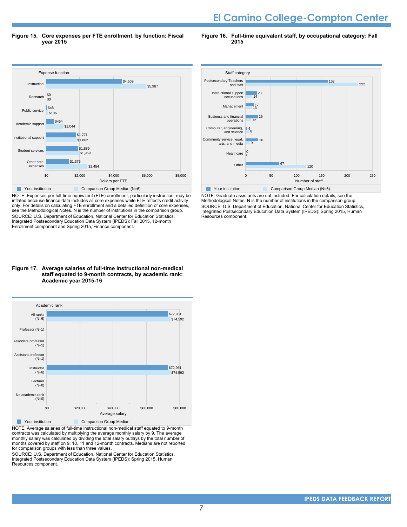# **El Camino College-Compton Center**

**Figure 15. Core expenses per FTE enrollment, by function: Fiscal year 2015**

**Figure 16. Full-time equivalent staff, by occupational category: Fall 2015**



NOTE: Expenses per full-time equivalent (FTE) enrollment, particularly instruction, may be inflated because finance data includes all core expenses while FTE reflects credit activity only. For details on calculating FTE enrollment and a detailed definition of core expenses, see the Methodological Notes. N is the number of institutions in the comparison group. SOURCE: U.S. Department of Education, National Center for Education Statistics, Integrated Postsecondary Education Data System (IPEDS): Fall 2015, 12-month Enrollment component and Spring 2015, Finance component.

#### **Figure 17. Average salaries of full-time instructional non-medical staff equated to 9-month contracts, by academic rank: Academic year 2015-16**



NOTE: Average salaries of full-time instructional non-medical staff equated to 9-month contracts was calculated by multiplying the average monthly salary by 9. The average monthly salary was calculated by dividing the total salary outlays by the total number of months covered by staff on 9, 10, 11 and 12-month contracts. Medians are not reported for comparison groups with less than three values.

SOURCE: U.S. Department of Education, National Center for Education Statistics, Integrated Postsecondary Education Data System (IPEDS): Spring 2015, Human Resources component.



NOTE: Graduate assistants are not included. For calculation details, see the Methodological Notes. N is the number of institutions in the comparison group. SOURCE: U.S. Department of Education, National Center for Education Statistics, Integrated Postsecondary Education Data System (IPEDS): Spring 2015, Human Resources component.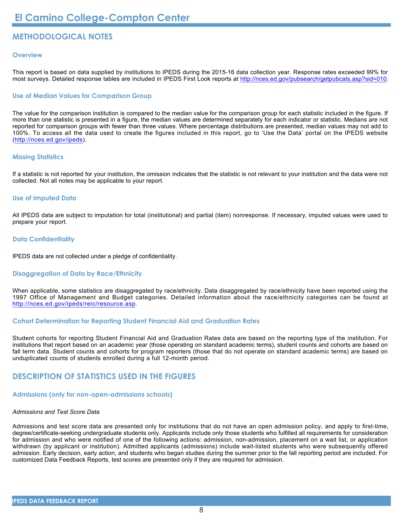### **METHODOLOGICAL NOTES**

#### **Overview**

This report is based on data supplied by institutions to IPEDS during the 2015-16 data collection year. Response rates exceeded 99% for most surveys. Detailed response tables are included in IPEDS First Look reports at [http://nces.ed.gov/pubsearch/getpubcats.asp?sid=010.](http://nces.ed.gov/pubsearch/getpubcats.asp?sid=010)

#### **Use of Median Values for Comparison Group**

The value for the comparison institution is compared to the median value for the comparison group for each statistic included in the figure. If more than one statistic is presented in a figure, the median values are determined separately for each indicator or statistic. Medians are not reported for comparison groups with fewer than three values. Where percentage distributions are presented, median values may not add to 100%. To access all the data used to create the figures included in this report, go to 'Use the Data' portal on the IPEDS website (<http://nces.ed.gov/ipeds>).

#### **Missing Statistics**

If a statistic is not reported for your institution, the omission indicates that the statistic is not relevant to your institution and the data were not collected. Not all notes may be applicable to your report.

#### **Use of Imputed Data**

All IPEDS data are subject to imputation for total (institutional) and partial (item) nonresponse. If necessary, imputed values were used to prepare your report.

#### **Data Confidentiality**

IPEDS data are not collected under a pledge of confidentiality.

#### **Disaggregation of Data by Race/Ethnicity**

When applicable, some statistics are disaggregated by race/ethnicity. Data disaggregated by race/ethnicity have been reported using the 1997 Office of Management and Budget categories. Detailed information about the race/ethnicity categories can be found at <http://nces.ed.gov/ipeds/reic/resource.asp>.

#### **Cohort Determination for Reporting Student Financial Aid and Graduation Rates**

Student cohorts for reporting Student Financial Aid and Graduation Rates data are based on the reporting type of the institution. For institutions that report based on an academic year (those operating on standard academic terms), student counts and cohorts are based on fall term data. Student counts and cohorts for program reporters (those that do not operate on standard academic terms) are based on unduplicated counts of students enrolled during a full 12-month period.

#### **DESCRIPTION OF STATISTICS USED IN THE FIGURES**

#### **Admissions (only for non-open-admissions schools)**

#### *Admissions and Test Score Data*

Admissions and test score data are presented only for institutions that do not have an open admission policy, and apply to first-time, degree/certificate-seeking undergraduate students only. Applicants include only those students who fulfilled all requirements for consideration for admission and who were notified of one of the following actions: admission, non-admission, placement on a wait list, or application withdrawn (by applicant or institution). Admitted applicants (admissions) include wait-listed students who were subsequently offered admission. Early decision, early action, and students who began studies during the summer prior to the fall reporting period are included. For customized Data Feedback Reports, test scores are presented only if they are required for admission.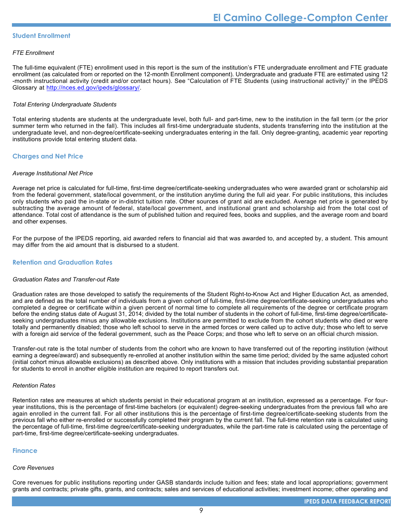#### **Student Enrollment**

#### *FTE Enrollment*

The full-time equivalent (FTE) enrollment used in this report is the sum of the institution's FTE undergraduate enrollment and FTE graduate enrollment (as calculated from or reported on the 12-month Enrollment component). Undergraduate and graduate FTE are estimated using 12 -month instructional activity (credit and/or contact hours). See "Calculation of FTE Students (using instructional activity)" in the IPEDS Glossary at <http://nces.ed.gov/ipeds/glossary/>.

#### *Total Entering Undergraduate Students*

Total entering students are students at the undergraduate level, both full- and part-time, new to the institution in the fall term (or the prior summer term who returned in the fall). This includes all first-time undergraduate students, students transferring into the institution at the undergraduate level, and non-degree/certificate-seeking undergraduates entering in the fall. Only degree-granting, academic year reporting institutions provide total entering student data.

#### **Charges and Net Price**

#### *Average Institutional Net Price*

Average net price is calculated for full-time, first-time degree/certificate-seeking undergraduates who were awarded grant or scholarship aid from the federal government, state/local government, or the institution anytime during the full aid year. For public institutions, this includes only students who paid the in-state or in-district tuition rate. Other sources of grant aid are excluded. Average net price is generated by subtracting the average amount of federal, state/local government, and institutional grant and scholarship aid from the total cost of attendance. Total cost of attendance is the sum of published tuition and required fees, books and supplies, and the average room and board and other expenses.

For the purpose of the IPEDS reporting, aid awarded refers to financial aid that was awarded to, and accepted by, a student. This amount may differ from the aid amount that is disbursed to a student.

#### **Retention and Graduation Rates**

#### *Graduation Rates and Transfer-out Rate*

Graduation rates are those developed to satisfy the requirements of the Student Right-to-Know Act and Higher Education Act, as amended, and are defined as the total number of individuals from a given cohort of full-time, first-time degree/certificate-seeking undergraduates who completed a degree or certificate within a given percent of normal time to complete all requirements of the degree or certificate program before the ending status date of August 31, 2014; divided by the total number of students in the cohort of full-time, first-time degree/certificateseeking undergraduates minus any allowable exclusions. Institutions are permitted to exclude from the cohort students who died or were totally and permanently disabled; those who left school to serve in the armed forces or were called up to active duty; those who left to serve with a foreign aid service of the federal government, such as the Peace Corps; and those who left to serve on an official church mission.

Transfer-out rate is the total number of students from the cohort who are known to have transferred out of the reporting institution (without earning a degree/award) and subsequently re-enrolled at another institution within the same time period; divided by the same adjusted cohort (initial cohort minus allowable exclusions) as described above. Only institutions with a mission that includes providing substantial preparation for students to enroll in another eligible institution are required to report transfers out.

#### *Retention Rates*

Retention rates are measures at which students persist in their educational program at an institution, expressed as a percentage. For fouryear institutions, this is the percentage of first-time bachelors (or equivalent) degree-seeking undergraduates from the previous fall who are again enrolled in the current fall. For all other institutions this is the percentage of first-time degree/certificate-seeking students from the previous fall who either re-enrolled or successfully completed their program by the current fall. The full-time retention rate is calculated using the percentage of full-time, first-time degree/certificate-seeking undergraduates, while the part-time rate is calculated using the percentage of part-time, first-time degree/certificate-seeking undergraduates.

#### **Finance**

#### *Core Revenues*

Core revenues for public institutions reporting under GASB standards include tuition and fees; state and local appropriations; government grants and contracts; private gifts, grants, and contracts; sales and services of educational activities; investment income; other operating and